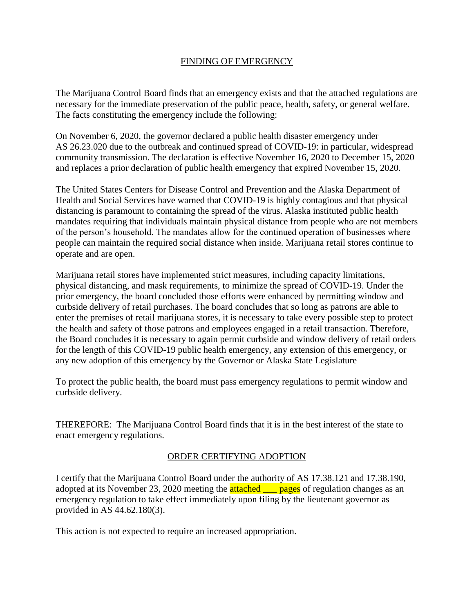## FINDING OF EMERGENCY

The Marijuana Control Board finds that an emergency exists and that the attached regulations are necessary for the immediate preservation of the public peace, health, safety, or general welfare. The facts constituting the emergency include the following:

On November 6, 2020, the governor declared a public health disaster emergency under AS 26.23.020 due to the outbreak and continued spread of COVID-19: in particular, widespread community transmission. The declaration is effective November 16, 2020 to December 15, 2020 and replaces a prior declaration of public health emergency that expired November 15, 2020.

The United States Centers for Disease Control and Prevention and the Alaska Department of Health and Social Services have warned that COVID-19 is highly contagious and that physical distancing is paramount to containing the spread of the virus. Alaska instituted public health mandates requiring that individuals maintain physical distance from people who are not members of the person's household. The mandates allow for the continued operation of businesses where people can maintain the required social distance when inside. Marijuana retail stores continue to operate and are open.

Marijuana retail stores have implemented strict measures, including capacity limitations, physical distancing, and mask requirements, to minimize the spread of COVID-19. Under the prior emergency, the board concluded those efforts were enhanced by permitting window and curbside delivery of retail purchases. The board concludes that so long as patrons are able to enter the premises of retail marijuana stores, it is necessary to take every possible step to protect the health and safety of those patrons and employees engaged in a retail transaction. Therefore, the Board concludes it is necessary to again permit curbside and window delivery of retail orders for the length of this COVID-19 public health emergency, any extension of this emergency, or any new adoption of this emergency by the Governor or Alaska State Legislature

To protect the public health, the board must pass emergency regulations to permit window and curbside delivery.

THEREFORE: The Marijuana Control Board finds that it is in the best interest of the state to enact emergency regulations.

## ORDER CERTIFYING ADOPTION

I certify that the Marijuana Control Board under the authority of AS 17.38.121 and 17.38.190, adopted at its November 23, 2020 meeting the **attached** <u>pages</u> of regulation changes as an emergency regulation to take effect immediately upon filing by the lieutenant governor as provided in AS 44.62.180(3).

This action is not expected to require an increased appropriation.